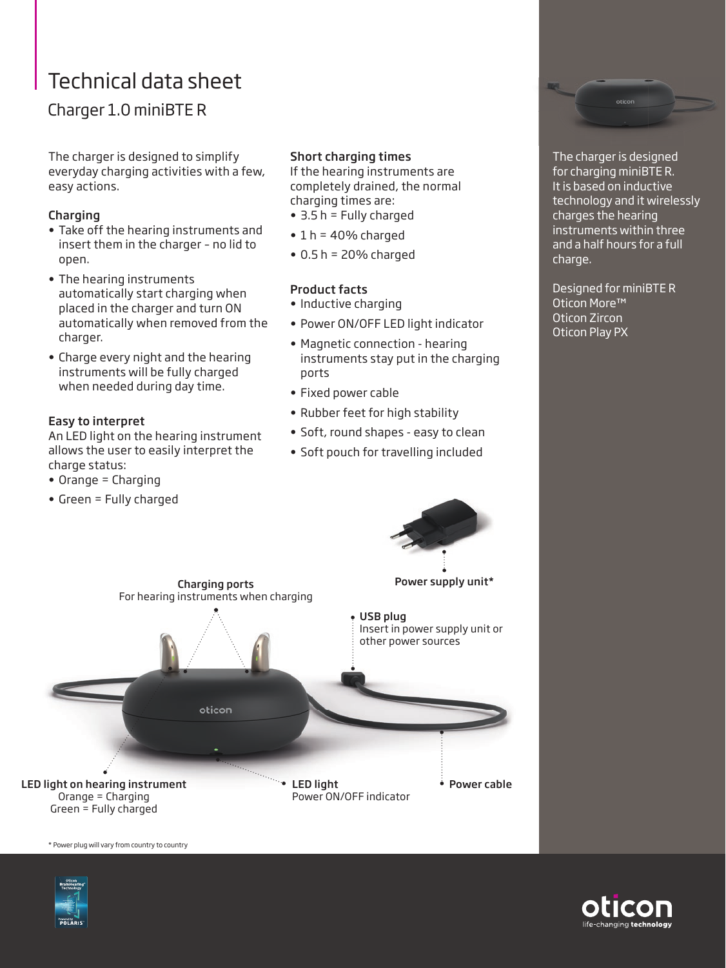# Technical data sheet

# Charger 1.0 miniBTE R

The charger is designed to simplify everyday charging activities with a few, easy actions.

#### Charging

- Take off the hearing instruments and insert them in the charger – no lid to open.
- The hearing instruments automatically start charging when placed in the charger and turn ON automatically when removed from the charger.
- Charge every night and the hearing instruments will be fully charged when needed during day time.

## Easy to interpret

An LED light on the hearing instrument allows the user to easily interpret the charge status:

- Orange = Charging
- Green = Fully charged

### Short charging times

If the hearing instruments are completely drained, the normal charging times are:

- 3.5 h = Fully charged
- $\cdot$  1 h = 40% charged
- $\bullet$  0.5 h = 20% charged

#### Product facts

- Inductive charging
- Power ON/OFF LED light indicator
- Magnetic connection hearing instruments stay put in the charging ports
- Fixed power cable
- Rubber feet for high stability
- Soft, round shapes easy to clean
- Soft pouch for travelling included



The charger is designed for charging miniBTE R. It is based on inductive technology and it wirelessly charges the hearing instruments within three and a half hours for a full charge.

Designed for miniBTE R Oticon More™ Oticon Zircon Oticon Play PX



\* Power plug will vary from country to country